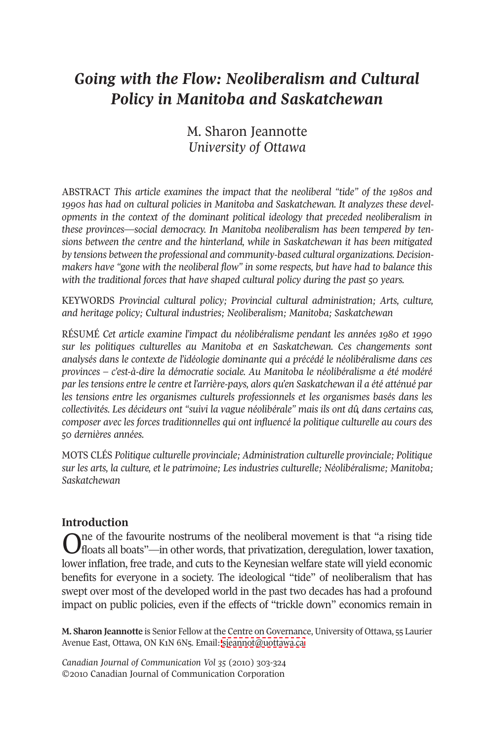# *Going with the Flow: Neoliberalism and Cultural Policy in Manitoba and Saskatchewan*

# M. Sharon Jeannotte *University of Ottawa*

AbStrACt *This article examines the impact that the neoliberal "tide" of the 1980s and 1990s has had on cultural policies in Manitoba and Saskatchewan. It analyzes these developments in the context of the dominant political ideology that preceded neoliberalism in these provinces—social democracy. In Manitoba neoliberalism has been tempered by tensions between the centre and the hinterland, while in Saskatchewan it has been mitigated by tensions between the professional and community-based cultural organizations. Decisionmakers have "gone with the neoliberal flow" in some respects, but have had to balance this with the traditional forces that have shaped cultural policy during the past 50 years.*

KEywOrdS *Provincial cultural policy; Provincial cultural administration; Arts, culture, and heritage policy; Cultural industries; Neoliberalism; Manitoba; Saskatchewan*

réSUMé *Cet article examine l'impact du néolibéralisme pendant les années 1980 et 1990 sur les politiques culturelles au Manitoba et en Saskatchewan. Ces changements sont analysés dans le contexte de l'idéologie dominante qui a précédé le néolibéralisme dans ces provinces – c'est-à-dire la démocratie sociale. Au Manitoba le néolibéralisme a été modéré par les tensions entre le centre et l'arrière-pays, alors qu'en Saskatchewan il a été atténué par les tensions entre les organismes culturels professionnels et les organismes basés dans les collectivités. Les décideurs ont "suivi la vague néolibérale" mais ils ont dû, dans certains cas, composer avec les forces traditionnelles qui ont influencé la politique culturelle au cours des 50 dernières années.*

MOtS CLéS *Politique culturelle provinciale; Administration culturelle provinciale; Politique sur les arts, la culture, et le patrimoine; Les industries culturelle; Néolibéralisme; Manitoba; Saskatchewan*

# **Introduction**

The of the favourite nostrums of the neoliberal movement is that "a rising tide" floats all boats"—in other words, that privatization, deregulation, lower taxation, lower inflation, free trade, and cuts to the Keynesian welfare state will yield economic benefits for everyone in a society. the ideological "tide" of neoliberalism that has swept over most of the developed world in the past two decades has had a profound impact on public policies, even if the effects of "trickle down" economics remain in

**M. Sharon Jeannotte** is Senior Fellow at the Centre on Governance, University of Ottawa, 55 Laurier Avenue East, Ottawa, ON K1N 6N5. Email: [sjeannot@uottawa.ca.](mailto:sjeannot@uottawa.ca)

*Canadian Journal of Communication Vol 35* (2010) 303-324 ©2010 Canadian Journal of Communication Corporation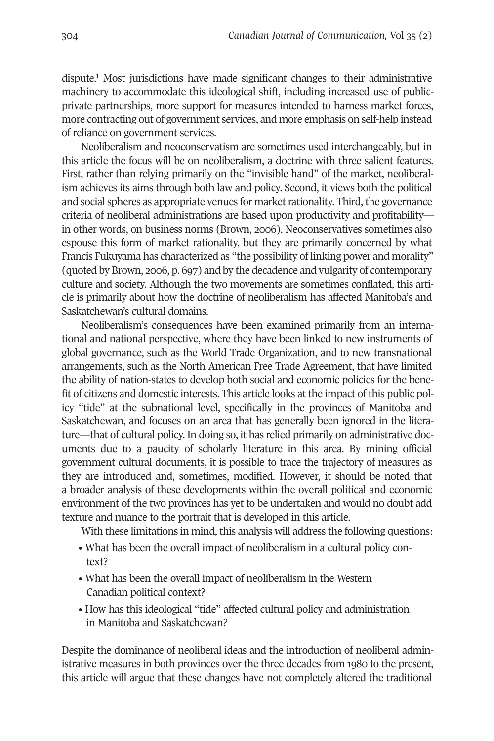dispute. <sup>1</sup> Most jurisdictions have made significant changes to their administrative machinery to accommodate this ideological shift, including increased use of publicprivate partnerships, more support for measures intended to harness market forces, more contracting out of government services, and more emphasis on self-help instead of reliance on government services.

Neoliberalism and neoconservatism are sometimes used interchangeably, but in this article the focus will be on neoliberalism, a doctrine with three salient features. First, rather than relying primarily on the "invisible hand" of the market, neoliberalism achieves its aims through both law and policy. Second, it views both the political and social spheres as appropriate venues for marketrationality. third, the governance criteria of neoliberal administrations are based upon productivity and profitability in other words, on business norms (brown, 2006). Neoconservatives sometimes also espouse this form of market rationality, but they are primarily concerned by what Francis Fukuyama has characterized as "the possibility of linking power and morality" (quoted by brown, 2006, p. 697) and by the decadence and vulgarity of contemporary culture and society. Although the two movements are sometimes conflated, this article is primarily about how the doctrine of neoliberalism has affected Manitoba's and Saskatchewan's cultural domains.

Neoliberalism's consequences have been examined primarily from an international and national perspective, where they have been linked to new instruments of global governance, such as the world trade Organization, and to new transnational arrangements, such as the North American Free trade Agreement, that have limited the ability of nation-states to develop both social and economic policies for the benefit of citizens and domestic interests. this article looks at the impact of this public policy "tide" at the subnational level, specifically in the provinces of Manitoba and Saskatchewan, and focuses on an area that has generally been ignored in the literature—that of cultural policy. In doing so, it has relied primarily on administrative documents due to a paucity of scholarly literature in this area. by mining official government cultural documents, it is possible to trace the trajectory of measures as they are introduced and, sometimes, modified. However, it should be noted that a broader analysis of these developments within the overall political and economic environment of the two provinces has yet to be undertaken and would no doubt add texture and nuance to the portrait that is developed in this article.

With these limitations in mind, this analysis will address the following questions:

- what has been the overall impact of neoliberalism in a cultural policy context?
- what has been the overall impact of neoliberalism in the western Canadian political context?
- How has this ideological "tide" affected cultural policy and administration in Manitoba and Saskatchewan?

Despite the dominance of neoliberal ideas and the introduction of neoliberal administrative measures in both provinces over the three decades from 1980 to the present, this article will argue that these changes have not completely altered the traditional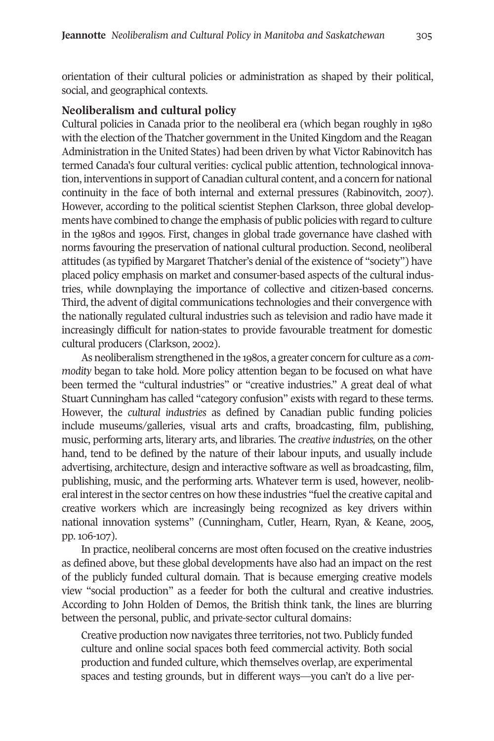orientation of their cultural policies or administration as shaped by their political, social, and geographical contexts.

# **Neoliberalism and cultural policy**

Cultural policies in Canada prior to the neoliberal era (which began roughly in 1980 with the election of the Thatcher government in the United Kingdom and the Reagan Administration in the United States) had been driven by what Victor Rabinovitch has termed Canada's four cultural verities: cyclical public attention, technological innovation, interventions in support of Canadian cultural content, and a concern for national continuity in the face of both internal and external pressures (Rabinovitch, 2007). However, according to the political scientist Stephen Clarkson, three global developments have combined to change the emphasis of public policies with regard to culture in the 1980s and 1990s. First, changes in global trade governance have clashed with norms favouring the preservation of national cultural production. Second, neoliberal attitudes (as typified by Margaret thatcher's denial of the existence of "society") have placed policy emphasis on market and consumer-based aspects of the cultural industries, while downplaying the importance of collective and citizen-based concerns. third, the advent of digital communications technologies and their convergence with the nationally regulated cultural industries such as television and radio have made it increasingly difficult for nation-states to provide favourable treatment for domestic cultural producers (Clarkson, 2002).

As neoliberalism strengthened in the 1980s, a greater concern for culture as a *commodity* began to take hold. More policy attention began to be focused on what have been termed the "cultural industries" or "creative industries." A great deal of what Stuart Cunningham has called "category confusion" exists with regard to these terms. However, the *cultural industries* as defined by Canadian public funding policies include museums/galleries, visual arts and crafts, broadcasting, film, publishing, music, performing arts, literary arts, and libraries. the *creative industries,* on the other hand, tend to be defined by the nature of their labour inputs, and usually include advertising, architecture, design and interactive software as well as broadcasting, film, publishing, music, and the performing arts. whatever term is used, however, neoliberal interestin the sector centres on how these industries "fuelthe creative capital and creative workers which are increasingly being recognized as key drivers within national innovation systems" (Cunningham, Cutler, Hearn, Ryan, & Keane, 2005, pp. 106-107).

In practice, neoliberal concerns are most often focused on the creative industries as defined above, but these global developments have also had an impact on the rest of the publicly funded cultural domain. that is because emerging creative models view "social production" as a feeder for both the cultural and creative industries. According to John Holden of Demos, the British think tank, the lines are blurring between the personal, public, and private-sector cultural domains:

Creative production now navigates three territories, not two. Publicly funded culture and online social spaces both feed commercial activity. both social production and funded culture, which themselves overlap, are experimental spaces and testing grounds, but in different ways—you can't do a live per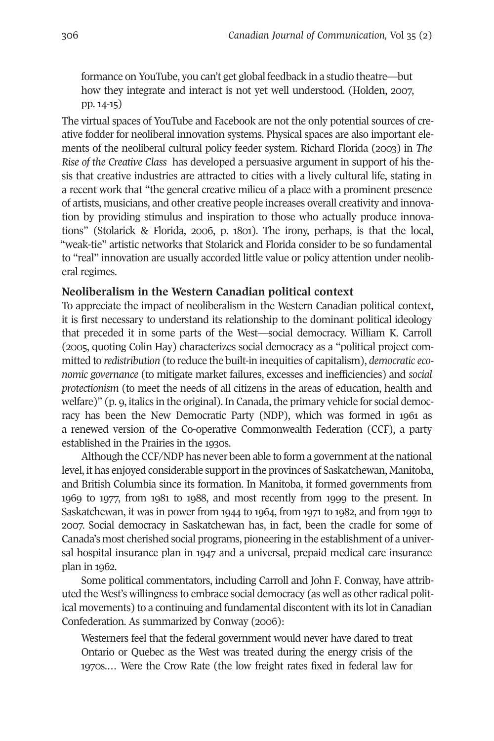formance on YouTube, you can't get global feedback in a studio theatre—but how they integrate and interact is not yet well understood. (Holden, 2007, pp. 14-15)

the virtual spaces of youtube and Facebook are not the only potential sources of creative fodder for neoliberal innovation systems. Physical spaces are also important elements of the neoliberal cultural policy feeder system. Richard Florida (2003) in *The Rise of the Creative Class* has developed a persuasive argument in support of his thesis that creative industries are attracted to cities with a lively cultural life, stating in a recent work that "the general creative milieu of a place with a prominent presence of artists, musicians, and other creative people increases overall creativity and innovation by providing stimulus and inspiration to those who actually produce innovations" (Stolarick & Florida, 2006, p. 1801). the irony, perhaps, is that the local, "weak-tie" artistic networks that Stolarick and Florida consider to be so fundamental to "real" innovation are usually accorded little value or policy attention under neoliberal regimes.

## **Neoliberalism in the Western Canadian political context**

to appreciate the impact of neoliberalism in the western Canadian political context, it is first necessary to understand its relationship to the dominant political ideology that preceded it in some parts of the west—social democracy. william K. Carroll (2005, quoting Colin Hay) characterizes social democracy as a "political project committed to *redistribution* (to reduce the built-in inequities of capitalism), *democratic economic governance* (to mitigate market failures, excesses and inefficiencies) and *social protectionism* (to meet the needs of all citizens in the areas of education, health and welfare)" (p. 9, italics in the original). In Canada, the primary vehicle for social democracy has been the New Democratic Party (NDP), which was formed in 1961 as a renewed version of the Co-operative Commonwealth Federation (CCF), a party established in the Prairies in the 1930s.

Although the CCF/NDP has never been able to form a government at the national level, it has enjoyed considerable support in the provinces of Saskatchewan, Manitoba, and british Columbia since its formation. In Manitoba, it formed governments from 1969 to 1977, from 1981 to 1988, and most recently from 1999 to the present. In Saskatchewan, it was in power from 1944 to 1964, from 1971 to 1982, and from 1991 to 2007. Social democracy in Saskatchewan has, in fact, been the cradle for some of Canada's most cherished social programs, pioneering in the establishment of a universal hospital insurance plan in 1947 and a universal, prepaid medical care insurance plan in 1962.

Some political commentators, including Carroll and John F. Conway, have attributed the west's willingness to embrace social democracy (as well as otherradical political movements) to a continuing and fundamental discontent with its lot in Canadian Confederation. As summarized by Conway (2006):

westerners feel that the federal government would never have dared to treat Ontario or Quebec as the west was treated during the energy crisis of the 1970s.... Were the Crow Rate (the low freight rates fixed in federal law for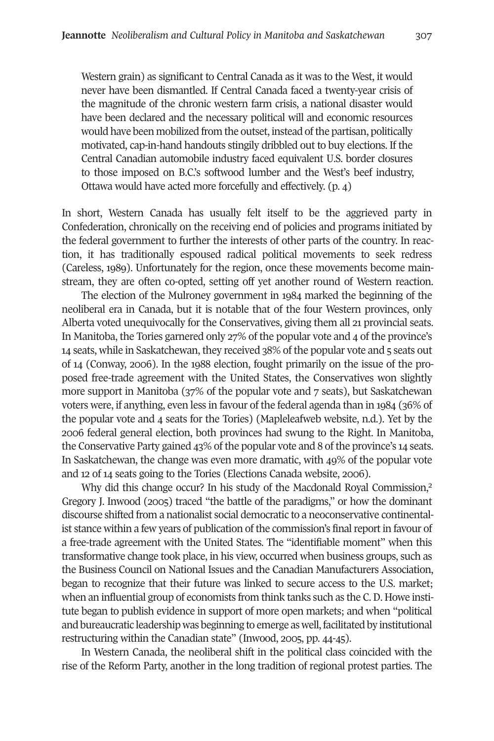western grain) as significant to Central Canada as it was to the west, it would never have been dismantled. If Central Canada faced a twenty-year crisis of the magnitude of the chronic western farm crisis, a national disaster would have been declared and the necessary political will and economic resources would have been mobilized from the outset, instead of the partisan, politically motivated, cap-in-hand handouts stingily dribbled out to buy elections. If the Central Canadian automobile industry faced equivalent U.S. border closures to those imposed on b.C.'s softwood lumber and the west's beef industry, Ottawa would have acted more forcefully and effectively. (p. 4)

In short, western Canada has usually felt itself to be the aggrieved party in Confederation, chronically on the receiving end of policies and programs initiated by the federal government to further the interests of other parts of the country. In reaction, it has traditionally espoused radical political movements to seek redress (Careless, 1989). Unfortunately for the region, once these movements become mainstream, they are often co-opted, setting off yet another round of western reaction.

The election of the Mulroney government in 1984 marked the beginning of the neoliberal era in Canada, but it is notable that of the four western provinces, only Alberta voted unequivocally for the Conservatives, giving them all 21 provincial seats. In Manitoba, the tories garnered only 27% of the popular vote and 4 of the province's 14 seats, while in Saskatchewan, they received 38% of the popular vote and 5 seats out of 14 (Conway, 2006). In the 1988 election, fought primarily on the issue of the proposed free-trade agreement with the United States, the Conservatives won slightly more support in Manitoba (37% of the popular vote and 7 seats), but Saskatchewan voters were, if anything, even less in favour of the federal agenda than in 1984 (36% of the popular vote and  $\mu$  seats for the Tories) (Mapleleafweb website, n.d.). Yet by the 2006 federal general election, both provinces had swung to the Right. In Manitoba, the Conservative Party gained 43% of the popular vote and 8 of the province's 14 seats. In Saskatchewan, the change was even more dramatic, with 49% of the popular vote and 12 of 14 seats going to the Tories (Elections Canada website, 2006).

Why did this change occur? In his study of the Macdonald Royal Commission,<sup>2</sup> Gregory J. Inwood (2005) traced "the battle of the paradigms," or how the dominant discourse shifted from a nationalist social democratic to a neoconservative continentalist stance within a few years of publication of the commission's finalreport in favour of a free-trade agreement with the United States. the "identifiable moment" when this transformative change took place, in his view, occurred when business groups, such as the business Council on National Issues and the Canadian Manufacturers Association, began to recognize that their future was linked to secure access to the U.S. market; when an influential group of economists from think tanks such as the C.D. Howe institute began to publish evidence in support of more open markets; and when "political and bureaucratic leadership was beginning to emerge as well,facilitated by institutional restructuring within the Canadian state" (Inwood, 2005, pp. 44-45).

In western Canada, the neoliberal shift in the political class coincided with the rise of the Reform Party, another in the long tradition of regional protest parties. The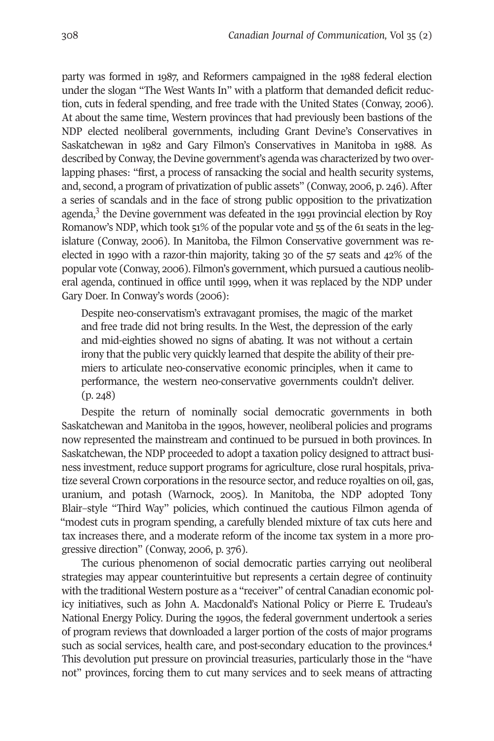party was formed in 1987, and Reformers campaigned in the 1988 federal election under the slogan "the west wants In" with a platform that demanded deficit reduction, cuts in federal spending, and free trade with the United States (Conway, 2006). At about the same time, western provinces that had previously been bastions of the NDP elected neoliberal governments, including Grant Devine's Conservatives in Saskatchewan in 1982 and Gary Filmon's Conservatives in Manitoba in 1988. As described by Conway, the devine government's agenda was characterized by two overlapping phases: "first, a process of ransacking the social and health security systems, and, second, a program of privatization of public assets" (Conway, 2006, p. 246). After a series of scandals and in the face of strong public opposition to the privatization agenda,<sup>3</sup> the Devine government was defeated in the 1991 provincial election by Roy Romanow's NDP, which took 51% of the popular vote and 55 of the 61 seats in the legislature (Conway, 2006). In Manitoba, the Filmon Conservative government was reelected in 1990 with a razor-thin majority, taking 30 of the 57 seats and 42% of the popular vote (Conway, 2006). Filmon's government, which pursued a cautious neoliberal agenda, continued in office until 1999, when it was replaced by the NDP under Gary Doer. In Conway's words (2006):

Despite neo-conservatism's extravagant promises, the magic of the market and free trade did not bring results. In the west, the depression of the early and mid-eighties showed no signs of abating. It was not without a certain irony that the public very quickly learned that despite the ability of their premiers to articulate neo-conservative economic principles, when it came to performance, the western neo-conservative governments couldn't deliver. (p. 248)

Despite the return of nominally social democratic governments in both Saskatchewan and Manitoba in the 1990s, however, neoliberal policies and programs now represented the mainstream and continued to be pursued in both provinces. In Saskatchewan, the NDP proceeded to adopt a taxation policy designed to attract business investment, reduce support programs for agriculture, close rural hospitals, privatize several Crown corporations in the resource sector, and reduce royalties on oil, gas, uranium, and potash (Warnock, 2005). In Manitoba, the NDP adopted Tony blair–style "third way" policies, which continued the cautious Filmon agenda of "modest cuts in program spending, a carefully blended mixture of tax cuts here and tax increases there, and a moderate reform of the income tax system in a more progressive direction" (Conway, 2006, p. 376).

The curious phenomenon of social democratic parties carrying out neoliberal strategies may appear counterintuitive but represents a certain degree of continuity with the traditional western posture as a "receiver" of central Canadian economic policy initiatives, such as John A. Macdonald's National Policy or Pierre E. trudeau's National Energy Policy. During the 1990s, the federal government undertook a series of program reviews that downloaded a larger portion of the costs of major programs such as social services, health care, and post-secondary education to the provinces. 4 This devolution put pressure on provincial treasuries, particularly those in the "have not" provinces, forcing them to cut many services and to seek means of attracting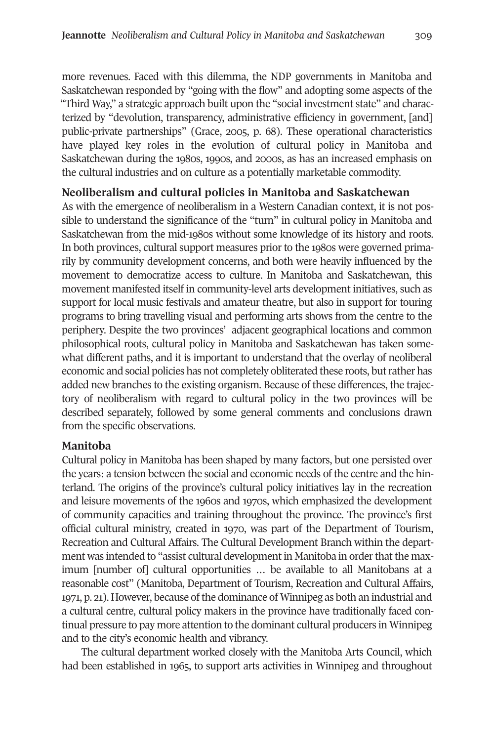more revenues. Faced with this dilemma, the NDP governments in Manitoba and Saskatchewan responded by "going with the flow" and adopting some aspects of the "third way," a strategic approach built upon the "social investment state" and characterized by "devolution, transparency, administrative efficiency in government, [and] public-private partnerships" (Grace, 2005, p. 68). these operational characteristics have played key roles in the evolution of cultural policy in Manitoba and Saskatchewan during the 1980s, 1990s, and 2000s, as has an increased emphasis on the cultural industries and on culture as a potentially marketable commodity.

# **Neoliberalism and cultural policies in Manitoba and Saskatchewan**

As with the emergence of neoliberalism in a western Canadian context, it is not possible to understand the significance of the "turn" in cultural policy in Manitoba and Saskatchewan from the mid-1980s without some knowledge of its history and roots. In both provinces, cultural support measures prior to the 1980s were governed primarily by community development concerns, and both were heavily influenced by the movement to democratize access to culture. In Manitoba and Saskatchewan, this movement manifested itself in community-level arts development initiatives, such as support for local music festivals and amateur theatre, but also in support for touring programs to bring travelling visual and performing arts shows from the centre to the periphery. despite the two provinces' adjacent geographical locations and common philosophical roots, cultural policy in Manitoba and Saskatchewan has taken somewhat different paths, and it is important to understand that the overlay of neoliberal economic and social policies has not completely obliterated these roots, but rather has added new branches to the existing organism. because of these differences, the trajectory of neoliberalism with regard to cultural policy in the two provinces will be described separately, followed by some general comments and conclusions drawn from the specific observations.

## **Manitoba**

Cultural policy in Manitoba has been shaped by many factors, but one persisted over the years: a tension between the social and economic needs of the centre and the hinterland. the origins of the province's cultural policy initiatives lay in the recreation and leisure movements of the 1960s and 1970s, which emphasized the development of community capacities and training throughout the province. the province's first official cultural ministry, created in 1970, was part of the department of tourism, Recreation and Cultural Affairs. The Cultural Development Branch within the department was intended to "assist cultural development in Manitoba in order that the maximum [number of] cultural opportunities … be available to all Manitobans at a reasonable cost" (Manitoba, Department of Tourism, Recreation and Cultural Affairs, 1971, p. 21). However, because of the dominance of Winnipeg as both an industrial and a cultural centre, cultural policy makers in the province have traditionally faced continual pressure to pay more attention to the dominant cultural producers in winnipeg and to the city's economic health and vibrancy.

the cultural department worked closely with the Manitoba Arts Council, which had been established in 1965, to support arts activities in winnipeg and throughout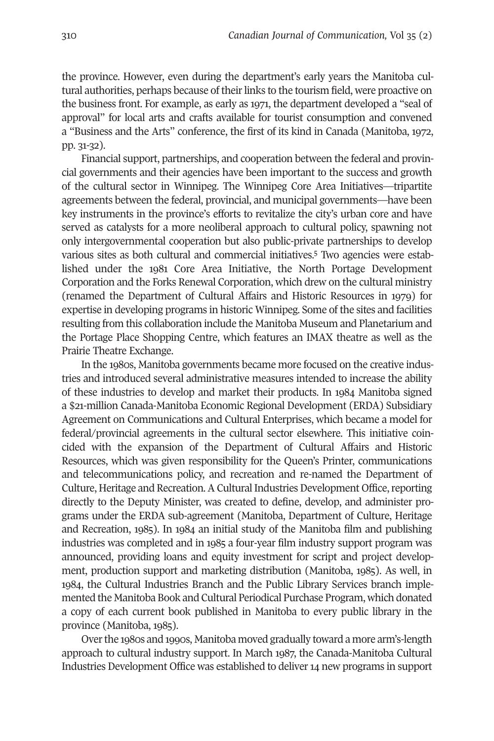the province. However, even during the department's early years the Manitoba cultural authorities, perhaps because of their links to the tourism field, were proactive on the business front. For example, as early as 1971, the department developed a "seal of approval" for local arts and crafts available for tourist consumption and convened a "business and the Arts" conference, the first of its kind in Canada (Manitoba, 1972, pp. 31-32).

Financial support, partnerships, and cooperation between the federal and provincial governments and their agencies have been important to the success and growth of the cultural sector in winnipeg. the winnipeg Core Area Initiatives—tripartite agreements between the federal, provincial, and municipal governments—have been key instruments in the province's efforts to revitalize the city's urban core and have served as catalysts for a more neoliberal approach to cultural policy, spawning not only intergovernmental cooperation but also public-private partnerships to develop various sites as both cultural and commercial initiatives.<sup>5</sup> Two agencies were established under the 1981 Core Area Initiative, the North Portage Development Corporation and the Forks Renewal Corporation, which drew on the cultural ministry (renamed the department of Cultural Affairs and Historic resources in 1979) for expertise in developing programs in historic winnipeg. Some of the sites and facilities resulting from this collaboration include the Manitoba Museum and Planetarium and the Portage Place Shopping Centre, which features an IMAX theatre as well as the Prairie Theatre Exchange.

In the 1980s, Manitoba governments became more focused on the creative industries and introduced several administrative measures intended to increase the ability of these industries to develop and market their products. In 1984 Manitoba signed a \$21-million Canada-Manitoba Economic Regional Development (ERDA) Subsidiary Agreement on Communications and Cultural Enterprises, which became a model for federal/provincial agreements in the cultural sector elsewhere. this initiative coincided with the expansion of the Department of Cultural Affairs and Historic Resources, which was given responsibility for the Queen's Printer, communications and telecommunications policy, and recreation and re-named the Department of Culture, Heritage and Recreation. A Cultural Industries Development Office, reporting directly to the deputy Minister, was created to define, develop, and administer programs under the ErdA sub-agreement (Manitoba, department of Culture, Heritage and recreation, 1985). In 1984 an initial study of the Manitoba film and publishing industries was completed and in 1985 a four-year film industry support program was announced, providing loans and equity investment for script and project development, production support and marketing distribution (Manitoba, 1985). As well, in 1984, the Cultural Industries branch and the Public Library Services branch implemented the Manitoba book and Cultural Periodical Purchase Program, which donated a copy of each current book published in Manitoba to every public library in the province (Manitoba, 1985).

Overthe 1980s and 1990s, Manitoba moved gradually toward a more arm's-length approach to cultural industry support. In March 1987, the Canada-Manitoba Cultural Industries development Office was established to deliver 14 new programs in support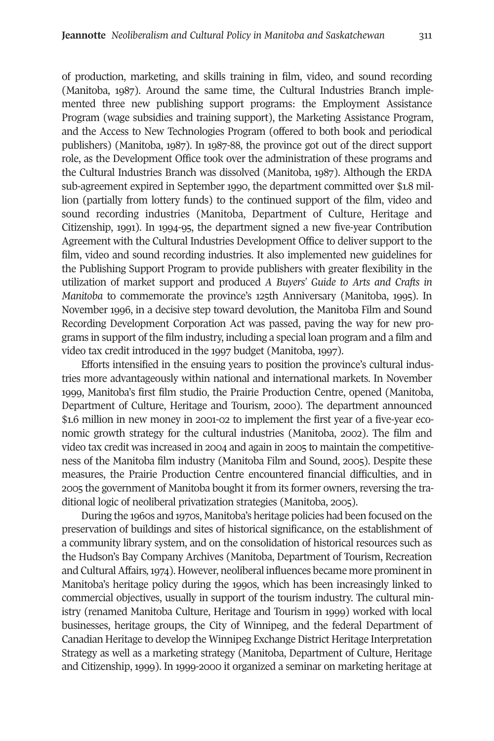of production, marketing, and skills training in film, video, and sound recording (Manitoba, 1987). Around the same time, the Cultural Industries branch implemented three new publishing support programs: the Employment Assistance Program (wage subsidies and training support), the Marketing Assistance Program, and the Access to New technologies Program (offered to both book and periodical publishers) (Manitoba, 1987). In 1987-88, the province got out of the direct support role, as the development Office took over the administration of these programs and the Cultural Industries Branch was dissolved (Manitoba, 1987). Although the ERDA sub-agreement expired in September 1990, the department committed over \$1.8 million (partially from lottery funds) to the continued support of the film, video and sound recording industries (Manitoba, Department of Culture, Heritage and Citizenship, 1991). In 1994-95, the department signed a new five-year Contribution Agreement with the Cultural Industries development Office to deliver support to the film, video and sound recording industries. It also implemented new guidelines for the Publishing Support Program to provide publishers with greater flexibility in the utilization of market support and produced *A Buyers' Guide to Arts and Crafts in Manitoba* to commemorate the province's 125th Anniversary (Manitoba, 1995). In November 1996, in a decisive step toward devolution, the Manitoba Film and Sound Recording Development Corporation Act was passed, paving the way for new programs in support of the film industry, including a special loan program and a film and video tax credit introduced in the 1997 budget (Manitoba, 1997).

Efforts intensified in the ensuing years to position the province's cultural industries more advantageously within national and international markets. In November 1999, Manitoba's first film studio, the Prairie Production Centre, opened (Manitoba, Department of Culture, Heritage and Tourism, 2000). The department announced \$1.6 million in new money in 2001-02 to implement the first year of a five-year economic growth strategy for the cultural industries (Manitoba, 2002). the film and video tax credit was increased in 2004 and again in 2005 to maintain the competitiveness of the Manitoba film industry (Manitoba Film and Sound, 2005). Despite these measures, the Prairie Production Centre encountered financial difficulties, and in 2005 the government of Manitoba bought it from its former owners, reversing the traditional logic of neoliberal privatization strategies (Manitoba, 2005).

During the 1960s and 1970s, Manitoba's heritage policies had been focused on the preservation of buildings and sites of historical significance, on the establishment of a community library system, and on the consolidation of historical resources such as the Hudson's Bay Company Archives (Manitoba, Department of Tourism, Recreation and CulturalAffairs*,*1974). However, neoliberal influences became more prominentin Manitoba's heritage policy during the 1990s, which has been increasingly linked to commercial objectives, usually in support of the tourism industry. the cultural ministry (renamed Manitoba Culture, Heritage and tourism in 1999) worked with local businesses, heritage groups, the City of Winnipeg, and the federal Department of Canadian Heritage to develop the Winnipeg Exchange District Heritage Interpretation Strategy as well as a marketing strategy (Manitoba, Department of Culture, Heritage and Citizenship, 1999). In 1999-2000 it organized a seminar on marketing heritage at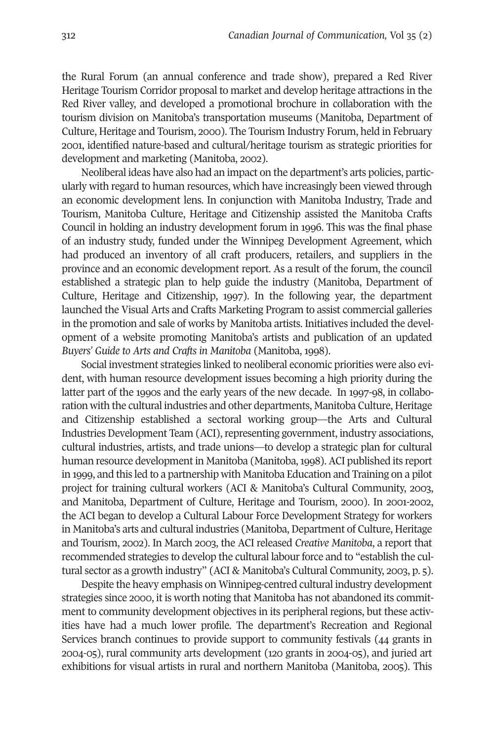the Rural Forum (an annual conference and trade show), prepared a Red River Heritage Tourism Corridor proposal to market and develop heritage attractions in the Red River valley, and developed a promotional brochure in collaboration with the tourism division on Manitoba's transportation museums (Manitoba, department of Culture, Heritage and tourism, 2000). the tourism Industry Forum, held in February 2001, identified nature-based and cultural/heritage tourism as strategic priorities for development and marketing (Manitoba, 2002).

Neoliberal ideas have also had an impact on the department's arts policies, particularly with regard to human resources, which have increasingly been viewed through an economic development lens. In conjunction with Manitoba Industry, trade and Tourism, Manitoba Culture, Heritage and Citizenship assisted the Manitoba Crafts Council in holding an industry development forum in 1996. This was the final phase of an industry study, funded under the winnipeg development Agreement, which had produced an inventory of all craft producers, retailers, and suppliers in the province and an economic development report. As a result of the forum, the council established a strategic plan to help guide the industry (Manitoba, Department of Culture, Heritage and Citizenship, 1997). In the following year, the department launched the Visual Arts and Crafts Marketing Program to assist commercial galleries in the promotion and sale of works by Manitoba artists. Initiatives included the development of a website promoting Manitoba's artists and publication of an updated *Buyers' Guide to Arts and Crafts in Manitoba* (Manitoba, 1998).

Social investment strategies linked to neoliberal economic priorities were also evident, with human resource development issues becoming a high priority during the latter part of the 1990s and the early years of the new decade. In 1997-98, in collaboration with the cultural industries and other departments, Manitoba Culture, Heritage and Citizenship established a sectoral working group—the Arts and Cultural Industries Development Team (ACI), representing government, industry associations, cultural industries, artists, and trade unions—to develop a strategic plan for cultural human resource development in Manitoba (Manitoba, 1998). ACI published its report in 1999, and this led to a partnership with Manitoba Education and training on a pilot project for training cultural workers (ACI & Manitoba's Cultural Community, 2003, and Manitoba, department of Culture, Heritage and tourism, 2000). In 2001-2002, the ACI began to develop a Cultural Labour Force Development Strategy for workers in Manitoba's arts and cultural industries (Manitoba, Department of Culture, Heritage and tourism, 2002). In March 2003, the ACI released *Creative Manitoba*, a report that recommended strategies to develop the cultural labourforce and to "establish the cultural sector as a growth industry" (ACI & Manitoba's Cultural Community, 2003, p. 5).

Despite the heavy emphasis on Winnipeg-centred cultural industry development strategies since 2000, it is worth noting that Manitoba has not abandoned its commitment to community development objectives in its peripheral regions, but these activities have had a much lower profile. The department's Recreation and Regional Services branch continues to provide support to community festivals (44 grants in 2004-05), rural community arts development (120 grants in 2004-05), and juried art exhibitions for visual artists in rural and northern Manitoba (Manitoba, 2005). this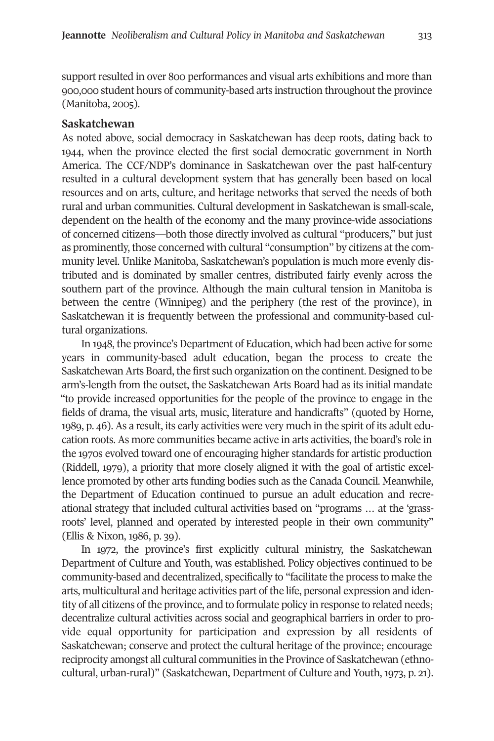support resulted in over 800 performances and visual arts exhibitions and more than 900,000 student hours of community-based arts instruction throughout the province (Manitoba, 2005).

#### **Saskatchewan**

As noted above, social democracy in Saskatchewan has deep roots, dating back to 1944, when the province elected the first social democratic government in North America. The CCF/NDP's dominance in Saskatchewan over the past half-century resulted in a cultural development system that has generally been based on local resources and on arts, culture, and heritage networks that served the needs of both rural and urban communities. Cultural development in Saskatchewan is small-scale, dependent on the health of the economy and the many province-wide associations of concerned citizens—both those directly involved as cultural "producers," but just as prominently, those concerned with cultural "consumption" by citizens at the community level. Unlike Manitoba, Saskatchewan's population is much more evenly distributed and is dominated by smaller centres, distributed fairly evenly across the southern part of the province. Although the main cultural tension in Manitoba is between the centre (winnipeg) and the periphery (the rest of the province), in Saskatchewan it is frequently between the professional and community-based cultural organizations.

In 1948, the province's Department of Education, which had been active for some years in community-based adult education, began the process to create the Saskatchewan Arts Board, the first such organization on the continent. Designed to be arm's-length from the outset, the Saskatchewan Arts board had as its initial mandate "to provide increased opportunities for the people of the province to engage in the fields of drama, the visual arts, music, literature and handicrafts" (quoted by Horne, 1989, p. 46). As a result, its early activities were very much in the spirit of its adult education roots. As more communities became active in arts activities, the board's role in the 1970s evolved toward one of encouraging higher standards for artistic production (Riddell, 1979), a priority that more closely aligned it with the goal of artistic excellence promoted by other arts funding bodies such as the Canada Council. Meanwhile, the Department of Education continued to pursue an adult education and recreational strategy that included cultural activities based on "programs … at the 'grassroots' level, planned and operated by interested people in their own community" (Ellis & Nixon, 1986, p. 39).

In 1972, the province's first explicitly cultural ministry, the Saskatchewan Department of Culture and Youth, was established. Policy objectives continued to be community-based and decentralized, specifically to "facilitate the process to make the arts, multicultural and heritage activities part of the life, personal expression and identity of all citizens of the province, and to formulate policy in response to related needs; decentralize cultural activities across social and geographical barriers in order to provide equal opportunity for participation and expression by all residents of Saskatchewan; conserve and protect the cultural heritage of the province; encourage reciprocity amongst all cultural communities in the Province of Saskatchewan (ethnocultural, urban-rural)" (Saskatchewan, Department of Culture and Youth, 1973, p. 21).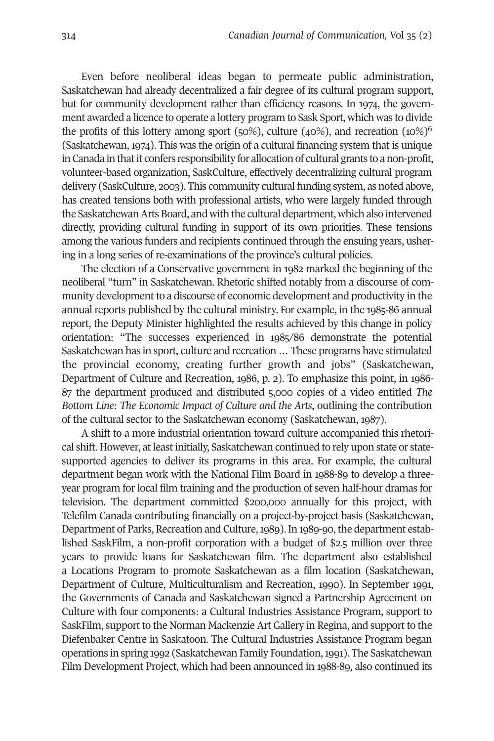Even before neoliberal ideas began to permeate public administration, Saskatchewan had already decentralized a fair degree of its cultural program support, but for community development rather than efficiency reasons. In 1974, the government awarded a licence to operate a lottery program to Sask Sport, which was to divide the profits of this lottery among sport ( $50\%$ ), culture ( $40\%$ ), and recreation ( $10\%$ )<sup>6</sup> (Saskatchewan,  $1974$ ). This was the origin of a cultural financing system that is unique in Canada in that it confers responsibility for allocation of cultural grants to a non-profit, volunteer-based organization, SaskCulture, effectively decentralizing cultural program delivery (SaskCulture, 2003). this community cultural funding system, as noted above, has created tensions both with professional artists, who were largely funded through the Saskatchewan Arts Board, and with the cultural department, which also intervened directly, providing cultural funding in support of its own priorities. these tensions among the various funders and recipients continued through the ensuing years, ushering in a long series of re-examinations of the province's cultural policies.

The election of a Conservative government in 1982 marked the beginning of the neoliberal "turn" in Saskatchewan. Rhetoric shifted notably from a discourse of community development to a discourse of economic development and productivity in the annual reports published by the cultural ministry. For example, in the 1985-86 annual report, the Deputy Minister highlighted the results achieved by this change in policy orientation: "the successes experienced in 1985/86 demonstrate the potential Saskatchewan has in sport, culture and recreation ... These programs have stimulated the provincial economy, creating further growth and jobs" (Saskatchewan, Department of Culture and Recreation, 1986, p. 2). To emphasize this point, in 1986-87 the department produced and distributed 5,000 copies of a video entitled *The Bottom Line: The Economic Impact of Culture and the Arts*, outlining the contribution of the cultural sector to the Saskatchewan economy (Saskatchewan, 1987).

A shift to a more industrial orientation toward culture accompanied this rhetorical shift. However, atleastinitially, Saskatchewan continued to rely upon state or statesupported agencies to deliver its programs in this area. For example, the cultural department began work with the National Film board in 1988-89 to develop a threeyear program for local film training and the production of seven half-hour dramas for television. the department committed \$200,000 annually for this project, with telefilm Canada contributing financially on a project-by-project basis (Saskatchewan, Department of Parks, Recreation and Culture, 1989). In 1989-90, the department established SaskFilm, a non-profit corporation with a budget of \$2.5 million over three years to provide loans for Saskatchewan film. the department also established a Locations Program to promote Saskatchewan as a film location (Saskatchewan, Department of Culture, Multiculturalism and Recreation, 1990). In September 1991, the Governments of Canada and Saskatchewan signed a Partnership Agreement on Culture with four components: a Cultural Industries Assistance Program, support to SaskFilm, support to the Norman Mackenzie Art Gallery in Regina, and support to the Diefenbaker Centre in Saskatoon. The Cultural Industries Assistance Program began operations in spring 1992 (Saskatchewan Family Foundation,1991). the Saskatchewan Film development Project, which had been announced in 1988-89, also continued its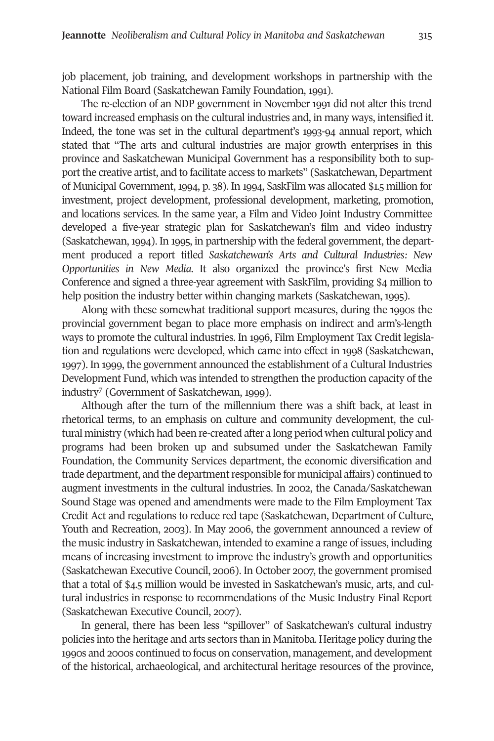job placement, job training, and development workshops in partnership with the National Film board (Saskatchewan Family Foundation, 1991).

The re-election of an NDP government in November 1991 did not alter this trend toward increased emphasis on the cultural industries and, in many ways, intensified it. Indeed, the tone was set in the cultural department's 1993-94 annual report, which stated that "The arts and cultural industries are major growth enterprises in this province and Saskatchewan Municipal Government has a responsibility both to support the creative artist, and to facilitate access to markets" (Saskatchewan, Department of Municipal Government, 1994, p. 38). In 1994, SaskFilm was allocated \$1.5 million for investment, project development, professional development, marketing, promotion, and locations services. In the same year, a Film and Video Joint Industry Committee developed a five-year strategic plan for Saskatchewan's film and video industry (Saskatchewan, 1994). In 1995, in partnership with the federal government, the department produced a report titled *Saskatchewan's Arts and Cultural Industries: New Opportunities in New Media*. It also organized the province's first New Media Conference and signed a three-year agreement with SaskFilm, providing \$4 million to help position the industry better within changing markets (Saskatchewan, 1995).

Along with these somewhat traditional support measures, during the 1990s the provincial government began to place more emphasis on indirect and arm's-length ways to promote the cultural industries. In 1996, Film Employment tax Credit legislation and regulations were developed, which came into effect in 1998 (Saskatchewan, 1997). In 1999, the government announced the establishment of a Cultural Industries Development Fund, which was intended to strengthen the production capacity of the industry7 (Government of Saskatchewan, 1999).

Although after the turn of the millennium there was a shift back, at least in rhetorical terms, to an emphasis on culture and community development, the cultural ministry (which had been re-created after a long period when cultural policy and programs had been broken up and subsumed under the Saskatchewan Family Foundation, the Community Services department, the economic diversification and trade department, and the department responsible for municipal affairs) continued to augment investments in the cultural industries. In 2002, the Canada/Saskatchewan Sound Stage was opened and amendments were made to the Film Employment tax Credit Act and regulations to reduce red tape (Saskatchewan, Department of Culture, Youth and Recreation, 2003). In May 2006, the government announced a review of the music industry in Saskatchewan, intended to examine a range of issues, including means of increasing investment to improve the industry's growth and opportunities (Saskatchewan Executive Council, 2006). In October 2007, the government promised that a total of \$4.5 million would be invested in Saskatchewan's music, arts, and cultural industries in response to recommendations of the Music Industry Final Report (Saskatchewan Executive Council, 2007).

In general, there has been less "spillover" of Saskatchewan's cultural industry policies into the heritage and arts sectors than in Manitoba. Heritage policy during the 1990s and 2000s continued to focus on conservation, management, and development of the historical, archaeological, and architectural heritage resources of the province,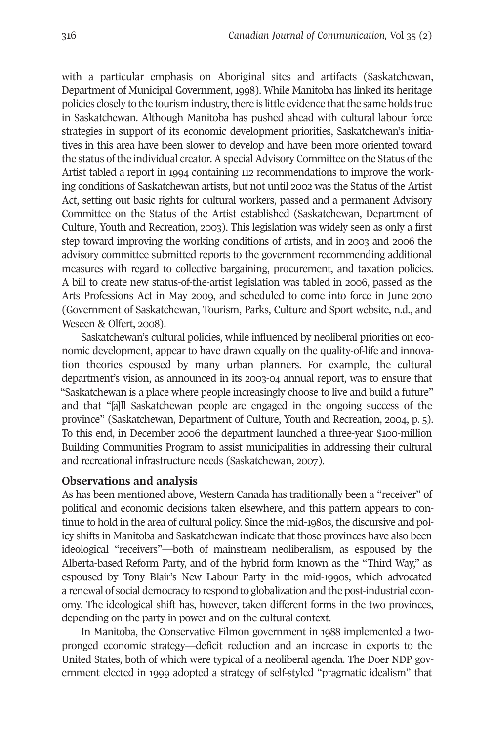with a particular emphasis on Aboriginal sites and artifacts (Saskatchewan, Department of Municipal Government, 1998). While Manitoba has linked its heritage policies closely to the tourism industry, there is little evidence that the same holds true in Saskatchewan. Although Manitoba has pushed ahead with cultural labour force strategies in support of its economic development priorities, Saskatchewan's initiatives in this area have been slower to develop and have been more oriented toward the status of the individual creator. A special Advisory Committee on the Status of the Artist tabled a report in 1994 containing 112 recommendations to improve the working conditions of Saskatchewan artists, but not until 2002 was the Status of the Artist Act, setting out basic rights for cultural workers, passed and a permanent Advisory Committee on the Status of the Artist established (Saskatchewan, Department of Culture, Youth and Recreation, 2003). This legislation was widely seen as only a first step toward improving the working conditions of artists, and in 2003 and 2006 the advisory committee submitted reports to the government recommending additional measures with regard to collective bargaining, procurement, and taxation policies. A bill to create new status-of-the-artist legislation was tabled in 2006, passed as the Arts Professions Act in May 2009, and scheduled to come into force in June 2010 (Government of Saskatchewan, tourism, Parks, Culture and Sport website, n.d., and weseen & Olfert, 2008).

Saskatchewan's cultural policies, while influenced by neoliberal priorities on economic development, appear to have drawn equally on the quality-of-life and innovation theories espoused by many urban planners. For example, the cultural department's vision, as announced in its 2003-04 annual report, was to ensure that "Saskatchewan is a place where people increasingly choose to live and build a future" and that "[a]ll Saskatchewan people are engaged in the ongoing success of the province" (Saskatchewan, Department of Culture, Youth and Recreation, 2004, p. 5). to this end, in december 2006 the department launched a three-year \$100-million building Communities Program to assist municipalities in addressing their cultural and recreational infrastructure needs (Saskatchewan, 2007).

#### **Observations and analysis**

As has been mentioned above, western Canada has traditionally been a "receiver" of political and economic decisions taken elsewhere, and this pattern appears to continue to hold in the area of cultural policy. Since the mid-1980s, the discursive and policy shifts in Manitoba and Saskatchewan indicate that those provinces have also been ideological "receivers"—both of mainstream neoliberalism, as espoused by the Alberta-based Reform Party, and of the hybrid form known as the "Third Way," as espoused by tony blair's New Labour Party in the mid-1990s, which advocated a renewal of social democracy to respond to globalization and the post-industrial economy. the ideological shift has, however, taken different forms in the two provinces, depending on the party in power and on the cultural context.

In Manitoba, the Conservative Filmon government in 1988 implemented a twopronged economic strategy—deficit reduction and an increase in exports to the United States, both of which were typical of a neoliberal agenda. The Doer NDP government elected in 1999 adopted a strategy of self-styled "pragmatic idealism" that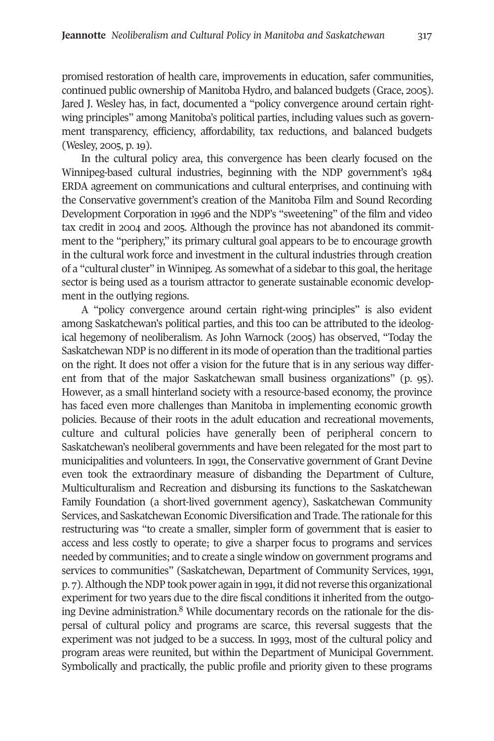promised restoration of health care, improvements in education, safer communities, continued public ownership of Manitoba Hydro, and balanced budgets (Grace, 2005). Jared J. wesley has, in fact, documented a "policy convergence around certain rightwing principles" among Manitoba's political parties, including values such as government transparency, efficiency, affordability, tax reductions, and balanced budgets (wesley, 2005, p. 19).

In the cultural policy area, this convergence has been clearly focused on the Winnipeg-based cultural industries, beginning with the NDP government's 1984 ErdA agreement on communications and cultural enterprises, and continuing with the Conservative government's creation of the Manitoba Film and Sound Recording Development Corporation in 1996 and the NDP's "sweetening" of the film and video tax credit in 2004 and 2005. Although the province has not abandoned its commitment to the "periphery," its primary cultural goal appears to be to encourage growth in the cultural work force and investment in the cultural industries through creation of a "cultural cluster" in winnipeg. As somewhat of a sidebarto this goal, the heritage sector is being used as a tourism attractor to generate sustainable economic development in the outlying regions.

A "policy convergence around certain right-wing principles" is also evident among Saskatchewan's political parties, and this too can be attributed to the ideological hegemony of neoliberalism. As John warnock (2005) has observed, "today the Saskatchewan NdP is no different in its mode of operation than the traditional parties on the right. It does not offer a vision for the future that is in any serious way different from that of the major Saskatchewan small business organizations" (p. 95). However, as a small hinterland society with a resource-based economy, the province has faced even more challenges than Manitoba in implementing economic growth policies. because of their roots in the adult education and recreational movements, culture and cultural policies have generally been of peripheral concern to Saskatchewan's neoliberal governments and have been relegated for the most part to municipalities and volunteers. In 1991, the Conservative government of Grant Devine even took the extraordinary measure of disbanding the Department of Culture, Multiculturalism and recreation and disbursing its functions to the Saskatchewan Family Foundation (a short-lived government agency), Saskatchewan Community Services, and Saskatchewan Economic Diversification and Trade. The rationale for this restructuring was "to create a smaller, simpler form of government that is easier to access and less costly to operate; to give a sharper focus to programs and services needed by communities; and to create a single window on government programs and services to communities" (Saskatchewan, Department of Community Services, 1991, p. 7). Although the NDP took power again in 1991, it did not reverse this organizational experiment for two years due to the dire fiscal conditions it inherited from the outgoing Devine administration.<sup>8</sup> While documentary records on the rationale for the dispersal of cultural policy and programs are scarce, this reversal suggests that the experiment was not judged to be a success. In 1993, most of the cultural policy and program areas were reunited, but within the Department of Municipal Government. Symbolically and practically, the public profile and priority given to these programs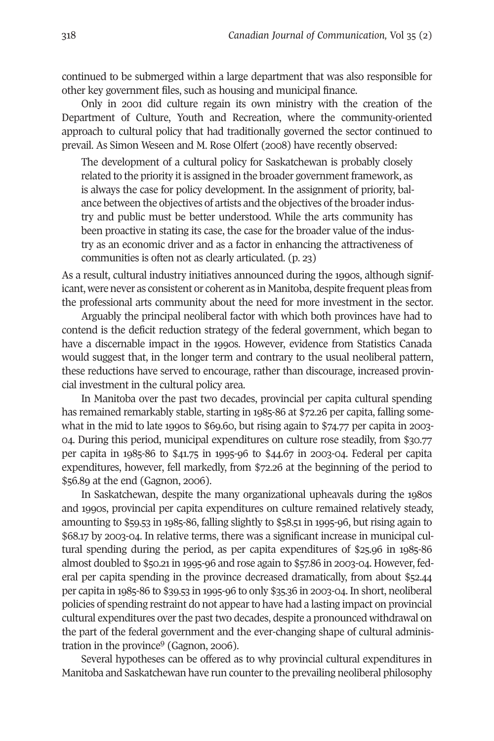continued to be submerged within a large department that was also responsible for other key government files, such as housing and municipal finance.

Only in 2001 did culture regain its own ministry with the creation of the Department of Culture, Youth and Recreation, where the community-oriented approach to cultural policy that had traditionally governed the sector continued to prevail. As Simon Weseen and M. Rose Olfert (2008) have recently observed:

The development of a cultural policy for Saskatchewan is probably closely related to the priority it is assigned in the broader government framework, as is always the case for policy development. In the assignment of priority, balance between the objectives of artists and the objectives of the broader industry and public must be better understood. while the arts community has been proactive in stating its case, the case for the broader value of the industry as an economic driver and as a factor in enhancing the attractiveness of communities is often not as clearly articulated. (p. 23)

As a result, cultural industry initiatives announced during the 1990s, although significant, were never as consistent or coherent as in Manitoba, despite frequent pleas from the professional arts community about the need for more investment in the sector.

Arguably the principal neoliberal factor with which both provinces have had to contend is the deficit reduction strategy of the federal government, which began to have a discernable impact in the 1990s. However, evidence from Statistics Canada would suggest that, in the longer term and contrary to the usual neoliberal pattern, these reductions have served to encourage, rather than discourage, increased provincial investment in the cultural policy area.

In Manitoba over the past two decades, provincial per capita cultural spending has remained remarkably stable, starting in 1985-86 at \$72.26 per capita, falling somewhat in the mid to late 1990s to \$69.60, but rising again to \$74.77 per capita in 2003- 04. during this period, municipal expenditures on culture rose steadily, from \$30.77 per capita in 1985-86 to \$41.75 in 1995-96 to \$44.67 in 2003-04. Federal per capita expenditures, however, fell markedly, from \$72.26 at the beginning of the period to \$56.89 at the end (Gagnon, 2006).

In Saskatchewan, despite the many organizational upheavals during the 1980s and 1990s, provincial per capita expenditures on culture remained relatively steady, amounting to \$59.53 in 1985-86, falling slightly to \$58.51 in 1995-96, but rising again to \$68.17 by 2003-04. In relative terms, there was a significant increase in municipal cultural spending during the period, as per capita expenditures of \$25.96 in 1985-86 almost doubled to \$50.21in 1995-96 and rose again to \$57.86 in 2003-04. However, federal per capita spending in the province decreased dramatically, from about \$52.44 per capita in 1985-86 to \$39.53 in 1995-96 to only \$35.36 in 2003-04. In short, neoliberal policies of spending restraint do not appearto have had a lasting impact on provincial cultural expenditures overthe past two decades, despite a pronounced withdrawal on the part of the federal government and the ever-changing shape of cultural administration in the province9 (Gagnon, 2006).

Several hypotheses can be offered as to why provincial cultural expenditures in Manitoba and Saskatchewan have run counter to the prevailing neoliberal philosophy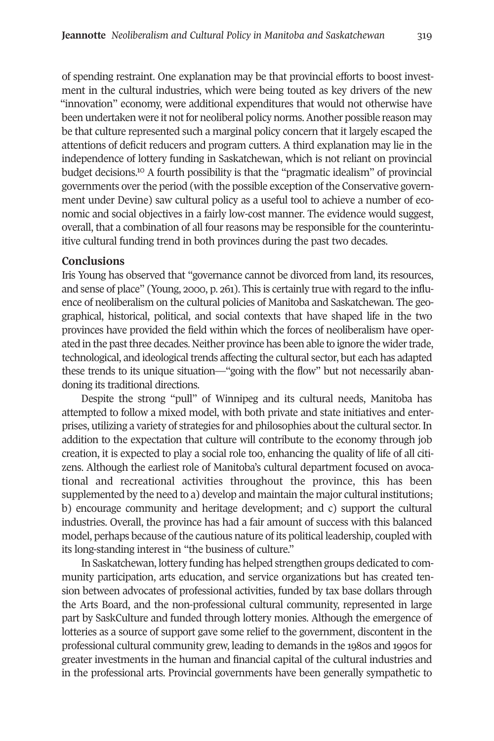of spending restraint. One explanation may be that provincial efforts to boost investment in the cultural industries, which were being touted as key drivers of the new "innovation" economy, were additional expenditures that would not otherwise have been undertaken were it not for neoliberal policy norms. Another possible reason may be that culture represented such a marginal policy concern that it largely escaped the attentions of deficit reducers and program cutters. A third explanation may lie in the independence of lottery funding in Saskatchewan, which is not reliant on provincial budget decisions. <sup>10</sup> A fourth possibility is that the "pragmatic idealism" of provincial governments overthe period (with the possible exception of the Conservative government under Devine) saw cultural policy as a useful tool to achieve a number of economic and social objectives in a fairly low-cost manner. the evidence would suggest, overall, that a combination of all four reasons may be responsible for the counterintuitive cultural funding trend in both provinces during the past two decades.

#### **Conclusions**

Iris young has observed that "governance cannot be divorced from land, its resources, and sense of place" (Young, 2000, p. 261). This is certainly true with regard to the influence of neoliberalism on the cultural policies of Manitoba and Saskatchewan. the geographical, historical, political, and social contexts that have shaped life in the two provinces have provided the field within which the forces of neoliberalism have operated in the past three decades. Neither province has been able to ignore the wider trade, technological, and ideological trends affecting the cultural sector, but each has adapted these trends to its unique situation—"going with the flow" but not necessarily abandoning its traditional directions.

Despite the strong "pull" of Winnipeg and its cultural needs, Manitoba has attempted to follow a mixed model, with both private and state initiatives and enterprises, utilizing a variety of strategies for and philosophies about the cultural sector. In addition to the expectation that culture will contribute to the economy through job creation, it is expected to play a social role too, enhancing the quality of life of all citizens. Although the earliest role of Manitoba's cultural department focused on avocational and recreational activities throughout the province, this has been supplemented by the need to a) develop and maintain the major cultural institutions; b) encourage community and heritage development; and c) support the cultural industries. Overall, the province has had a fair amount of success with this balanced model, perhaps because of the cautious nature of its political leadership, coupled with its long-standing interest in "the business of culture."

In Saskatchewan, lottery funding has helped strengthen groups dedicated to community participation, arts education, and service organizations but has created tension between advocates of professional activities, funded by tax base dollars through the Arts board, and the non-professional cultural community, represented in large part by SaskCulture and funded through lottery monies. Although the emergence of lotteries as a source of support gave some relief to the government, discontent in the professional cultural community grew, leading to demands in the 1980s and 1990s for greater investments in the human and financial capital of the cultural industries and in the professional arts. Provincial governments have been generally sympathetic to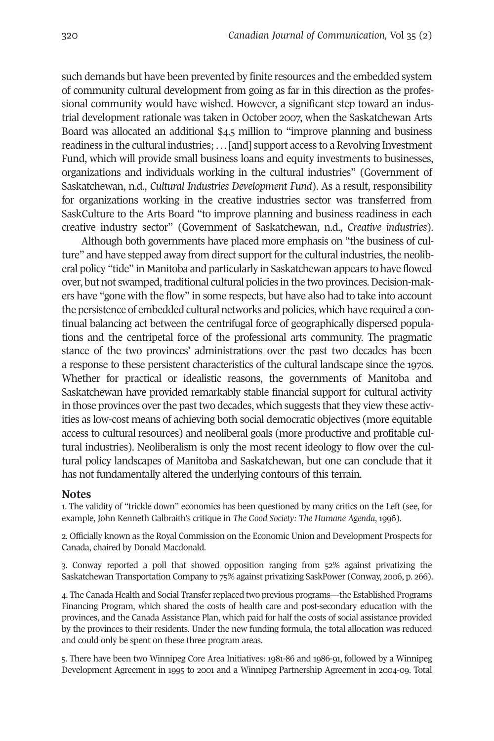such demands but have been prevented by finite resources and the embedded system of community cultural development from going as far in this direction as the professional community would have wished. However, a significant step toward an industrial development rationale was taken in October 2007, when the Saskatchewan Arts board was allocated an additional \$4.5 million to "improve planning and business readiness in the cultural industries; . . . [and] support access to a Revolving Investment Fund, which will provide small business loans and equity investments to businesses, organizations and individuals working in the cultural industries" (Government of Saskatchewan, n.d., *Cultural Industries Development Fund*). As a result, responsibility for organizations working in the creative industries sector was transferred from SaskCulture to the Arts board "to improve planning and business readiness in each creative industry sector" (Government of Saskatchewan, n.d., *Creative industries*).

Although both governments have placed more emphasis on "the business of culture" and have stepped away from direct support for the cultural industries, the neoliberal policy "tide" in Manitoba and particularly in Saskatchewan appears to have flowed over, but not swamped, traditional cultural policies in the two provinces. Decision-makers have "gone with the flow" in some respects, but have also had to take into account the persistence of embedded cultural networks and policies, which have required a continual balancing act between the centrifugal force of geographically dispersed populations and the centripetal force of the professional arts community. the pragmatic stance of the two provinces' administrations over the past two decades has been a response to these persistent characteristics of the cultural landscape since the 1970s. whether for practical or idealistic reasons, the governments of Manitoba and Saskatchewan have provided remarkably stable financial support for cultural activity in those provinces over the past two decades, which suggests that they view these activities as low-cost means of achieving both social democratic objectives (more equitable access to cultural resources) and neoliberal goals (more productive and profitable cultural industries). Neoliberalism is only the most recent ideology to flow over the cultural policy landscapes of Manitoba and Saskatchewan, but one can conclude that it has not fundamentally altered the underlying contours of this terrain.

#### **Notes**

1. the validity of "trickle down" economics has been questioned by many critics on the Left (see, for example, John Kenneth Galbraith's critique in *The Good Society: The Humane Agenda*, 1996).

2. Officially known as the Royal Commission on the Economic Union and Development Prospects for Canada, chaired by Donald Macdonald.

3. Conway reported a poll that showed opposition ranging from 52% against privatizing the Saskatchewan transportation Company to 75% against privatizing SaskPower (Conway, 2006, p. 266).

4. the Canada Health and Social transferreplaced two previous programs—the Established Programs Financing Program, which shared the costs of health care and post-secondary education with the provinces, and the Canada Assistance Plan, which paid for half the costs of social assistance provided by the provinces to their residents. Under the new funding formula, the total allocation was reduced and could only be spent on these three program areas.

5. there have been two winnipeg Core Area Initiatives: 1981-86 and 1986-91, followed by a winnipeg Development Agreement in 1995 to 2001 and a Winnipeg Partnership Agreement in 2004-09. Total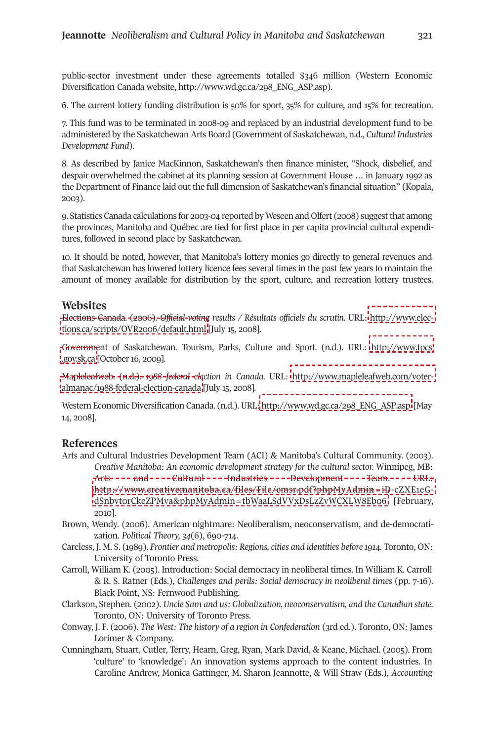public-sector investment under these agreements totalled \$346 million (western Economic Diversification Canada website, http://www.wd.gc.ca/298\_ENG\_ASP.asp).

6. the current lottery funding distribution is 50% for sport, 35% for culture, and 15% for recreation.

7. this fund was to be terminated in 2008-09 and replaced by an industrial development fund to be administered by the Saskatchewan Arts board (Government of Saskatchewan, n.d., *Cultural Industries Development Fund*).

8. As described by Janice MacKinnon, Saskatchewan's then finance minister, "Shock, disbelief, and despair overwhelmed the cabinet at its planning session at Government House … in January 1992 as the Department of Finance laid out the full dimension of Saskatchewan's financial situation" (Kopala, 2003).

9. Statistics Canada calculations for 2003-04 reported by weseen and Olfert (2008) suggestthat among the provinces, Manitoba and Québec are tied for first place in per capita provincial cultural expenditures, followed in second place by Saskatchewan.

10. It should be noted, however, that Manitoba's lottery monies go directly to general revenues and that Saskatchewan has lowered lottery licence fees several times in the past few years to maintain the amount of money available for distribution by the sport, culture, and recreation lottery trustees.

#### **Websites**

Elections Canada. (2006). *Official voting results / Résultats officiels du scrutin.* UrL: [http://www.elec](http://www.elections.ca/scripts/OVR2006/default.html)[tions.ca/scripts/OVr2006/default.html](http://www.elections.ca/scripts/OVR2006/default.html) [July 15, 2008].

Government of Saskatchewan. tourism, Parks, Culture and Sport. (n.d.). UrL: [http://www.tpcs](http://www.tpcs.gov.sk.ca) [.gov.sk.ca](http://www.tpcs.gov.sk.ca) [October 16, 2009].

Mapleleafweb. (n.d.). *1988 federal election in Canada.* UrL: [http://www.mapleleafweb.com/voter](http://www.mapleleafweb.com/voter-almanac/1988-federal-election-canada)[almanac/1988-federal-election-canada](http://www.mapleleafweb.com/voter-almanac/1988-federal-election-canada) [July 15, 2008].

Western Economic Diversification Canada. (n.d.). URL: [http://www.wd.gc.ca/298\\_ENG\\_ASP.asp](http://www.wd.gc.ca/298_ENG_ASP.asp) [May 14, 2008].

#### **References**

- Arts and Cultural Industries development team (ACI) & Manitoba's Cultural Community. (2003). *Creative Manitoba: An economic development strategy for the cultural sector.* winnipeg, Mb: Arts and Cultural Industries Development Team. URL: [http://www.creativemanitoba.ca/files/File/cmsr.pdf?phpMyAdmin=id-cZXE1eG](http://www.creativemanitoba.ca/files/File/cmsr.pdf?phpMyAdmin=iD-cZXE1eG-dSnbvt0rCkeZPMva&phpMyAdmin=tbWaaLSdVVxDsLzZvWCXLW8Eb06)[dSnbvt0rCkeZPMva&phpMyAdmin=tbwaaLSdVVxdsLzZvwCXLw8Eb06](http://www.creativemanitoba.ca/files/File/cmsr.pdf?phpMyAdmin=iD-cZXE1eG-dSnbvt0rCkeZPMva&phpMyAdmin=tbWaaLSdVVxDsLzZvWCXLW8Eb06) [February, 2010].
- brown, wendy. (2006). American nightmare: Neoliberalism, neoconservatism, and de-democratization. *Political Theory, 34*(6), 690-714.
- Careless, J. M. S. (1989). *Frontier and metropolis: Regions, cities and identities before 1914*. toronto, ON: University of Toronto Press.
- Carroll, william K. (2005). Introduction: Social democracy in neoliberal times. In william K. Carroll & r. S. ratner (Eds.), *Challenges and perils: Social democracy in neoliberal times* (pp. 7-16). black Point, NS: Fernwood Publishing.
- Clarkson, Stephen. (2002). *Uncle Sam and us: Globalization, neoconservatism, and the Canadian state.* Toronto, ON: University of Toronto Press.
- Conway, J. F. (2006). *The West: The history of a region in Confederation* (3rd ed.). toronto, ON: James Lorimer & Company.
- Cunningham, Stuart, Cutler, terry, Hearn, Greg, ryan, Mark david, & Keane, Michael. (2005). From 'culture' to 'knowledge': An innovation systems approach to the content industries. In Caroline Andrew, Monica Gattinger, M. Sharon Jeannotte, & will Straw (Eds.), *Accounting*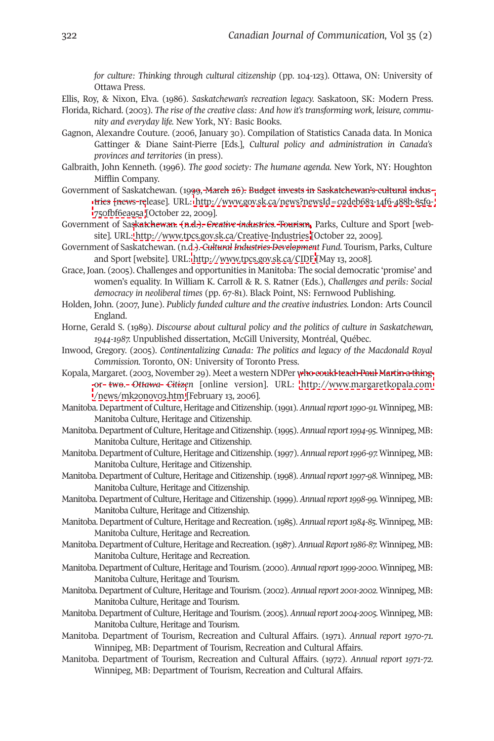*for culture: Thinking through cultural citizenship* (pp. 104-123)*.* Ottawa, ON: University of Ottawa Press.

Ellis, roy, & Nixon, Elva. (1986). *Saskatchewan's recreation legacy.* Saskatoon, SK: Modern Press.

- Florida, richard. (2003). *The rise of the creative class: And how it's transforming work, leisure, community and everyday life.* New york, Ny: basic books.
- Gagnon, Alexandre Couture. (2006, January 30). Compilation of Statistics Canada data. In Monica Gattinger & diane Saint-Pierre [Eds.], *Cultural policy and administration in Canada's provinces and territories* (in press).
- Galbraith, John Kenneth. (1996). *The good society: The humane agenda.* New york, Ny: Houghton Mifflin Company.
- Government of Saskatchewan. (1999, March 26). budget invests in Saskatchewan's cultural industries [news release]. UrL: [http://www.gov.sk.ca/news?newsId=02deb683-14f6-488b-85f9-](http://www.gov.sk.ca/news?newsId=02deb683-14f6-488b-85f9-750fbf6ea95a) [750fbf6ea95a](http://www.gov.sk.ca/news?newsId=02deb683-14f6-488b-85f9-750fbf6ea95a) [October 22, 2009].
- Government of Saskatchewan. (n.d.). *Creative industries.* tourism, Parks, Culture and Sport [website]. URL: <http://www.tpcs.gov.sk.ca/Creative-Industries> [October 22, 2009].
- Government of Saskatchewan. (n.d.). *Cultural Industries Development Fund.* tourism, Parks, Culture and Sport [website]. URL: http://www.tpcs.gov.sk.ca/CIDF [May 13, 2008].
- Grace, Joan. (2005). Challenges and opportunities in Manitoba: the social democratic 'promise' and women's equality. In william K. Carroll & r. S. ratner (Eds.), *Challenges and perils: Social democracy in neoliberal times* (pp. 67-81). black Point, NS: Fernwood Publishing.
- Holden, John. (2007, June). *Publicly funded culture and the creative industries.* London: Arts Council England.
- Horne, Gerald S. (1989). *Discourse about cultural policy and the politics of culture in Saskatchewan, 1944-1987.* Unpublished dissertation, McGill University, Montréal, Québec.
- Inwood, Gregory. (2005). *Continentalizing Canada: The politics and legacy of the Macdonald Royal* Commission. Toronto, ON: University of Toronto Press.
- Kopala, Margaret. (2003, November 29). Meet a western NDPer who could teach Paul Martin a thing or two. *Ottawa Citizen* [online version]. UrL: [http://www.margaretkopala.com](http://www.margaretkopala.com/news/mk20nov03.htm) [/news/mk20nov03.htm](http://www.margaretkopala.com/news/mk20nov03.htm) [February 13, 2006].

Manitoba. Department of Culture, Heritage and Citizenship. (1991). Annual report 1990-91. Winnipeg, MB: Manitoba Culture, Heritage and Citizenship.

Manitoba. Department of Culture, Heritage and Citizenship. (1995). Annual report 1994-95. Winnipeg, MB: Manitoba Culture, Heritage and Citizenship.

- Manitoba. Department of Culture, Heritage and Citizenship. (1997). Annual report 1996-97. Winnipeg, MB: Manitoba Culture, Heritage and Citizenship.
- Manitoba. Department of Culture, Heritage and Citizenship. (1998). *Annual report 1997-98*. Winnipeg, MB: Manitoba Culture, Heritage and Citizenship.

Manitoba. Department of Culture, Heritage and Citizenship. (1999). Annual report 1998-99. Winnipeg, MB: Manitoba Culture, Heritage and Citizenship.

Manitoba. Department of Culture, Heritage and Recreation. (1985). Annual report 1984-85. Winnipeg, MB: Manitoba Culture, Heritage and Recreation.

Manitoba. Department of Culture, Heritage and Recreation. (1987). Annual Report 1986-87. Winnipeg, MB: Manitoba Culture, Heritage and Recreation.

Manitoba. Department of Culture, Heritage and Tourism. (2000). Annual report 1999-2000. Winnipeg, MB: Manitoba Culture, Heritage and Tourism.

- Manitoba. Department of Culture, Heritage and Tourism. (2002). Annual report 2001-2002. Winnipeg, MB: Manitoba Culture, Heritage and Tourism.
- Manitoba. Department of Culture, Heritage and Tourism. (2005). Annual report 2004-2005. Winnipeg, MB: Manitoba Culture, Heritage and Tourism.
- Manitoba. Department of Tourism, Recreation and Cultural Affairs. (1971). *Annual report* 1970-71. Winnipeg, MB: Department of Tourism, Recreation and Cultural Affairs.
- Manitoba. Department of Tourism, Recreation and Cultural Affairs. (1972). *Annual report* 1971-72. Winnipeg, MB: Department of Tourism, Recreation and Cultural Affairs.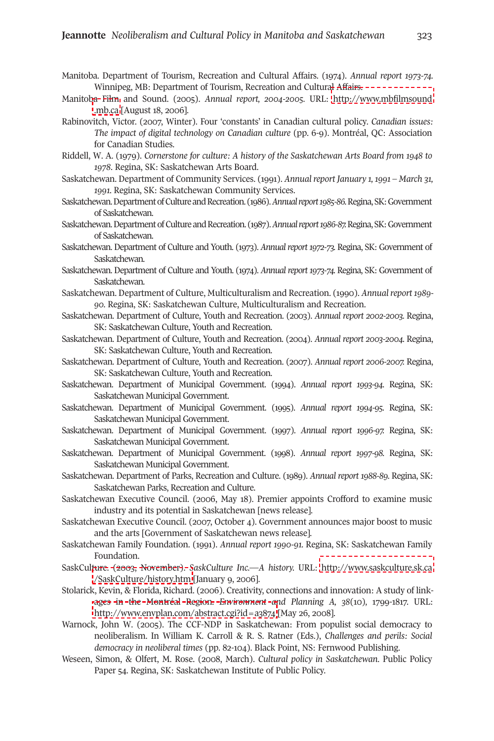- Manitoba. Department of Tourism, Recreation and Cultural Affairs. (1974). *Annual report* 1973-74. Winnipeg, MB: Department of Tourism, Recreation and Cultural Affairs.
- Manitoba Film and Sound. (2005). *Annual report, 2004-2005.* UrL: [http://www.mbfilmsound](http://www.mbfilmsound.mb.ca) [.mb.ca](http://www.mbfilmsound.mb.ca) [August 18, 2006].
- rabinovitch, Victor. (2007, winter). Four 'constants' in Canadian cultural policy. *Canadian issues: The impact of digital technology on Canadian culture* (pp. 6-9). Montréal, QC: Association for Canadian Studies.
- riddell, w. A. (1979). *Cornerstone for culture: A history of the Saskatchewan Arts Board from 1948 to* 1978. Regina, SK: Saskatchewan Arts Board.
- Saskatchewan. department of Community Services. (1991). *Annual report January 1, 1991 – March 31,* 1991. Regina, SK: Saskatchewan Community Services.
- Saskatchewan. Department of Culture and Recreation. (1986). Annual report 1985-86. Regina, SK: Government of Saskatchewan.
- Saskatchewan. Department of Culture and Recreation. (1987). Annual report 1986-87. Regina, SK: Government of Saskatchewan.
- Saskatchewan. Department of Culture and Youth. (1973). *Annual report 1972-73*. Regina, SK: Government of Saskatchewan.
- Saskatchewan. Department of Culture and Youth. (1974). Annual report 1973-74. Regina, SK: Government of Saskatchewan.
- Saskatchewan. Department of Culture, Multiculturalism and Recreation. (1990). *Annual report* 1989-90. Regina, SK: Saskatchewan Culture, Multiculturalism and Recreation.
- Saskatchewan. Department of Culture, Youth and Recreation. (2003). *Annual report* 2002-2003. Regina, SK: Saskatchewan Culture, Youth and Recreation.
- Saskatchewan. Department of Culture, Youth and Recreation. (2004). Annual *report* 2003-2004. Regina, SK: Saskatchewan Culture, Youth and Recreation.
- Saskatchewan. Department of Culture, Youth and Recreation. (2007). *Annual report* 2006-2007. Regina, SK: Saskatchewan Culture, Youth and Recreation.
- Saskatchewan. Department of Municipal Government. (1994). *Annual report* 1993-94. Regina, SK: Saskatchewan Municipal Government.
- Saskatchewan. Department of Municipal Government. (1995). Annual report 1994-95. Regina, SK: Saskatchewan Municipal Government.
- Saskatchewan. Department of Municipal Government. (1997). Annual report 1996-97. Regina, SK: Saskatchewan Municipal Government.
- Saskatchewan. Department of Municipal Government. (1998). Annual report 1997-98. Regina, SK: Saskatchewan Municipal Government.
- Saskatchewan. Department of Parks, Recreation and Culture. (1989). Annual *report* 1988-89. Regina, SK: Saskatchewan Parks, Recreation and Culture.
- Saskatchewan Executive Council. (2006, May 18). Premier appoints Crofford to examine music industry and its potential in Saskatchewan [news release].
- Saskatchewan Executive Council. (2007, October 4). Government announces major boost to music and the arts [Government of Saskatchewan news release]*.*
- Saskatchewan Family Foundation. (1991). Annual report 1990-91. Regina, SK: Saskatchewan Family Foundation.
- SaskCulture. (2003, November). *SaskCulture Inc.—A history.* UrL: [http://www.saskculture.sk.ca](http://www.saskculture.sk.ca/SaskCulture/history.htm) [/SaskCulture/history.htm](http://www.saskculture.sk.ca/SaskCulture/history.htm) [January 9, 2006].
- Stolarick, Kevin, & Florida, Richard. (2006). Creativity, connections and innovation: A study of linkages in the Montréal region. *Environment and Planning A, 38*(10)*,* 1799-1817. UrL: <http://www.envplan.com/abstract.cgi?id=a3874> [May 26, 2008].
- Warnock, John W. (2005). The CCF-NDP in Saskatchewan: From populist social democracy to neoliberalism. In William K. Carroll & R. S. Ratner (Eds.), *Challenges and perils: Social democracy in neoliberal times* (pp. 82-104). black Point, NS: Fernwood Publishing.
- weseen, Simon, & Olfert, M. rose. (2008, March). *Cultural policy in Saskatchewan*. Public Policy Paper 54. Regina, SK: Saskatchewan Institute of Public Policy.